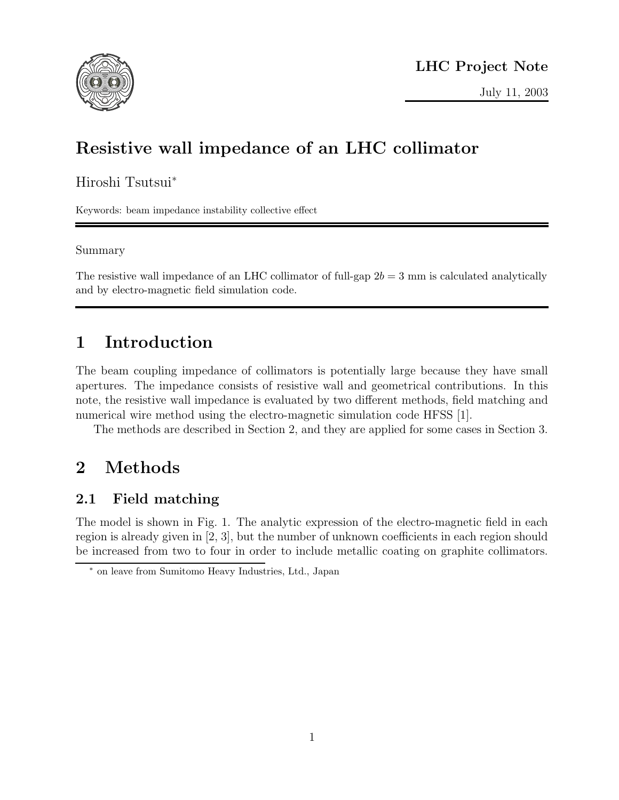

# Resistive wall impedance of an LHC collimator

Hiroshi Tsutsui<sup>∗</sup>

Keywords: beam impedance instability collective effect

#### Summary

The resistive wall impedance of an LHC collimator of full-gap  $2b = 3$  mm is calculated analytically and by electro-magnetic field simulation code.

# 1 Introduction

The beam coupling impedance of collimators is potentially large because they have small apertures. The impedance consists of resistive wall and geometrical contributions. In this note, the resistive wall impedance is evaluated by two different methods, field matching and numerical wire method using the electro-magnetic simulation code HFSS [1].

The methods are described in Section 2, and they are applied for some cases in Section 3.

# 2 Methods

## 2.1 Field matching

The model is shown in Fig. 1. The analytic expression of the electro-magnetic field in each region is already given in [2, 3], but the number of unknown coefficients in each region should be increased from two to four in order to include metallic coating on graphite collimators.

<sup>∗</sup> on leave from Sumitomo Heavy Industries, Ltd., Japan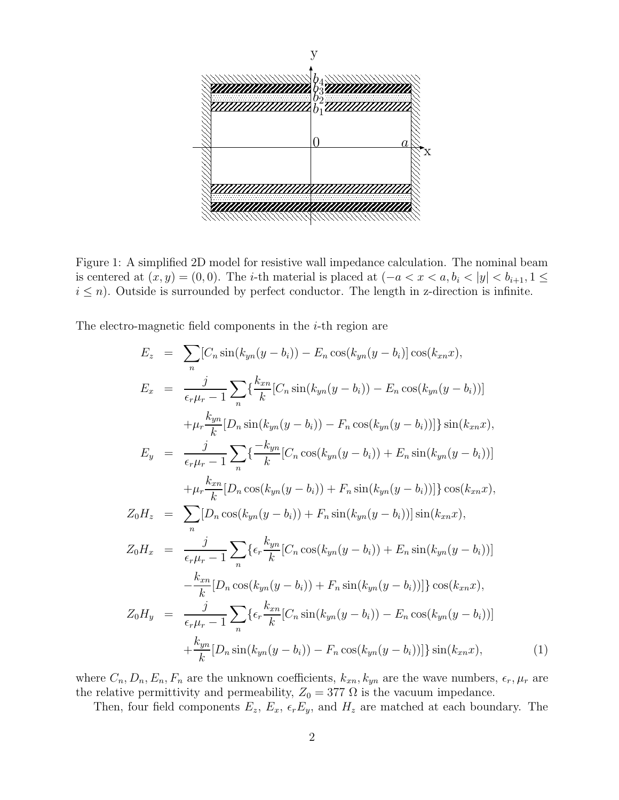

Figure 1: A simplified 2D model for resistive wall impedance calculation. The nominal beam is centered at  $(x, y) = (0, 0)$ . The *i*-th material is placed at  $(-a < x < a, b_i < |y| < b_{i+1}, 1 \le$  $i \leq n$ ). Outside is surrounded by perfect conductor. The length in z-direction is infinite.

The electro-magnetic field components in the *i*-th region are

$$
E_z = \sum_{n} [C_n \sin(k_{yn}(y - b_i)) - E_n \cos(k_{yn}(y - b_i)] \cos(k_{xn}x),
$$
  
\n
$$
E_x = \frac{j}{\epsilon_r \mu_r - 1} \sum_{n} \left\{ \frac{k_{xn}}{k} [C_n \sin(k_{yn}(y - b_i)) - E_n \cos(k_{yn}(y - b_i))] \right\}
$$
  
\n
$$
+ \mu_r \frac{k_{yn}}{k} [D_n \sin(k_{yn}(y - b_i)) - F_n \cos(k_{yn}(y - b_i))] \sin(k_{xn}x),
$$
  
\n
$$
E_y = \frac{j}{\epsilon_r \mu_r - 1} \sum_{n} \left\{ \frac{-k_{yn}}{k} [C_n \cos(k_{yn}(y - b_i)) + E_n \sin(k_{yn}(y - b_i))] \right\}
$$
  
\n
$$
+ \mu_r \frac{k_{xn}}{k} [D_n \cos(k_{yn}(y - b_i)) + F_n \sin(k_{yn}(y - b_i))] \cos(k_{xn}x),
$$
  
\n
$$
Z_0 H_z = \sum_{n} [D_n \cos(k_{yn}(y - b_i)) + F_n \sin(k_{yn}(y - b_i))] \sin(k_{xn}x),
$$
  
\n
$$
Z_0 H_x = \frac{j}{\epsilon_r \mu_r - 1} \sum_{n} \left\{ \epsilon_r \frac{k_{yn}}{k} [C_n \cos(k_{yn}(y - b_i)) + E_n \sin(k_{yn}(y - b_i))] \right\}
$$
  
\n
$$
- \frac{k_{xn}}{k} [D_n \cos(k_{yn}(y - b_i)) + F_n \sin(k_{yn}(y - b_i))] \cos(k_{xn}x),
$$
  
\n
$$
Z_0 H_y = \frac{j}{\epsilon_r \mu_r - 1} \sum_{n} \left\{ \epsilon_r \frac{k_{xn}}{k} [C_n \sin(k_{yn}(y - b_i)) - E_n \cos(k_{yn}(y - b_i))] \right\}
$$
  
\n
$$
+ \frac{k_{yn}}{k} [D_n \sin(k_{yn}(y - b_i)) - F_n \cos(k_{yn}(y - b_i))] \sin(k_{xn}x),
$$
  
\n(1)

where  $C_n, D_n, E_n, F_n$  are the unknown coefficients,  $k_{xn}, k_{yn}$  are the wave numbers,  $\epsilon_r, \mu_r$  are the relative permittivity and permeability,  $Z_0 = 377 \Omega$  is the vacuum impedance.

Then, four field components  $E_z$ ,  $E_x$ ,  $\epsilon_r E_y$ , and  $H_z$  are matched at each boundary. The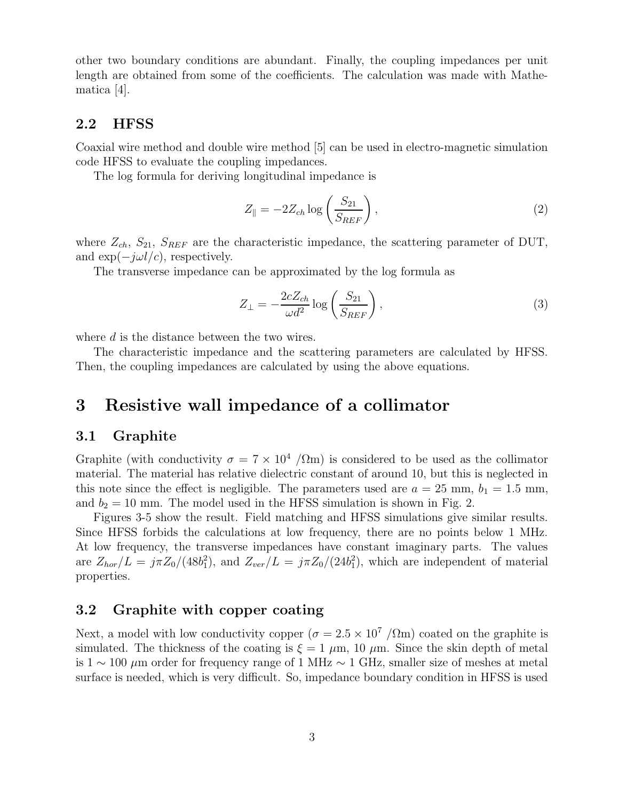other two boundary conditions are abundant. Finally, the coupling impedances per unit length are obtained from some of the coefficients. The calculation was made with Mathematica [4].

#### 2.2 HFSS

Coaxial wire method and double wire method [5] can be used in electro-magnetic simulation code HFSS to evaluate the coupling impedances.

The log formula for deriving longitudinal impedance is

$$
Z_{\parallel} = -2Z_{ch} \log \left(\frac{S_{21}}{S_{REF}}\right),\tag{2}
$$

where  $Z_{ch}$ ,  $S_{21}$ ,  $S_{REF}$  are the characteristic impedance, the scattering parameter of DUT, and  $\exp(-j\omega l/c)$ , respectively.

The transverse impedance can be approximated by the log formula as

$$
Z_{\perp} = -\frac{2cZ_{ch}}{\omega d^2} \log \left( \frac{S_{21}}{S_{REF}} \right),\tag{3}
$$

where d is the distance between the two wires.

The characteristic impedance and the scattering parameters are calculated by HFSS. Then, the coupling impedances are calculated by using the above equations.

### 3 Resistive wall impedance of a collimator

#### 3.1 Graphite

Graphite (with conductivity  $\sigma = 7 \times 10^4$  / $\Omega$ m) is considered to be used as the collimator material. The material has relative dielectric constant of around 10, but this is neglected in this note since the effect is negligible. The parameters used are  $a = 25$  mm,  $b_1 = 1.5$  mm, and  $b_2 = 10$  mm. The model used in the HFSS simulation is shown in Fig. 2.

Figures 3-5 show the result. Field matching and HFSS simulations give similar results. Since HFSS forbids the calculations at low frequency, there are no points below 1 MHz. At low frequency, the transverse impedances have constant imaginary parts. The values are  $Z_{hor}/L = j\pi Z_0/(48b_1^2)$ , and  $Z_{ver}/L = j\pi Z_0/(24b_1^2)$ , which are independent of material properties.

#### 3.2 Graphite with copper coating

Next, a model with low conductivity copper  $(\sigma = 2.5 \times 10^7)/\Omega$ m) coated on the graphite is simulated. The thickness of the coating is  $\xi = 1 \mu m$ , 10  $\mu m$ . Since the skin depth of metal is  $1 \sim 100 \ \mu m$  order for frequency range of 1 MHz  $\sim 1$  GHz, smaller size of meshes at metal surface is needed, which is very difficult. So, impedance boundary condition in HFSS is used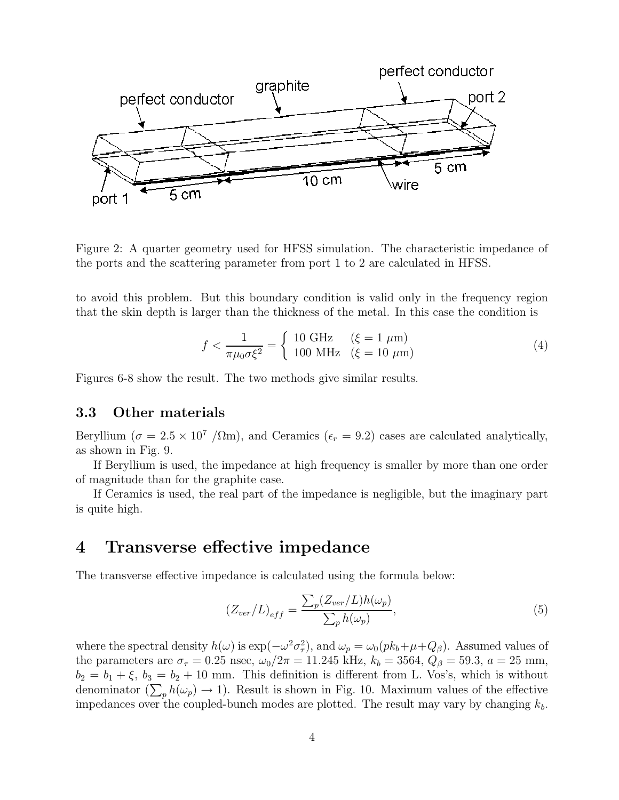

Figure 2: A quarter geometry used for HFSS simulation. The characteristic impedance of the ports and the scattering parameter from port 1 to 2 are calculated in HFSS.

to avoid this problem. But this boundary condition is valid only in the frequency region that the skin depth is larger than the thickness of the metal. In this case the condition is

$$
f < \frac{1}{\pi \mu_0 \sigma \xi^2} = \begin{cases} 10 \text{ GHz} & (\xi = 1 \text{ }\mu\text{m}) \\ 100 \text{ MHz} & (\xi = 10 \text{ }\mu\text{m}) \end{cases}
$$
(4)

Figures 6-8 show the result. The two methods give similar results.

#### 3.3 Other materials

Beryllium ( $\sigma = 2.5 \times 10^7$  / $\Omega$ m), and Ceramics ( $\epsilon_r = 9.2$ ) cases are calculated analytically, as shown in Fig. 9.

If Beryllium is used, the impedance at high frequency is smaller by more than one order of magnitude than for the graphite case.

If Ceramics is used, the real part of the impedance is negligible, but the imaginary part is quite high.

### 4 Transverse effective impedance

The transverse effective impedance is calculated using the formula below:

$$
(Z_{ver}/L)_{eff} = \frac{\sum_{p} (Z_{ver}/L)h(\omega_p)}{\sum_{p} h(\omega_p)},
$$
\n(5)

where the spectral density  $h(\omega)$  is  $\exp(-\omega^2 \sigma_\tau^2)$ <sup>2</sup>/<sub>7</sub>), and  $\omega_p = \omega_0 (p k_b + \mu + Q_\beta)$ . Assumed values of the parameters are  $\sigma_{\tau} = 0.25$  nsec,  $\omega_0/2\pi = 11.245$  kHz,  $k_b = 3564$ ,  $Q_{\beta} = 59.3$ ,  $a = 25$  mm,  $b_2 = b_1 + \xi$ ,  $b_3 = b_2 + 10$  mm. This definition is different from L. Vos's, which is without denominator  $(\sum_{p} h(\omega_{p}) \to 1)$ . Result is shown in Fig. 10. Maximum values of the effective impedances over the coupled-bunch modes are plotted. The result may vary by changing  $k_b$ .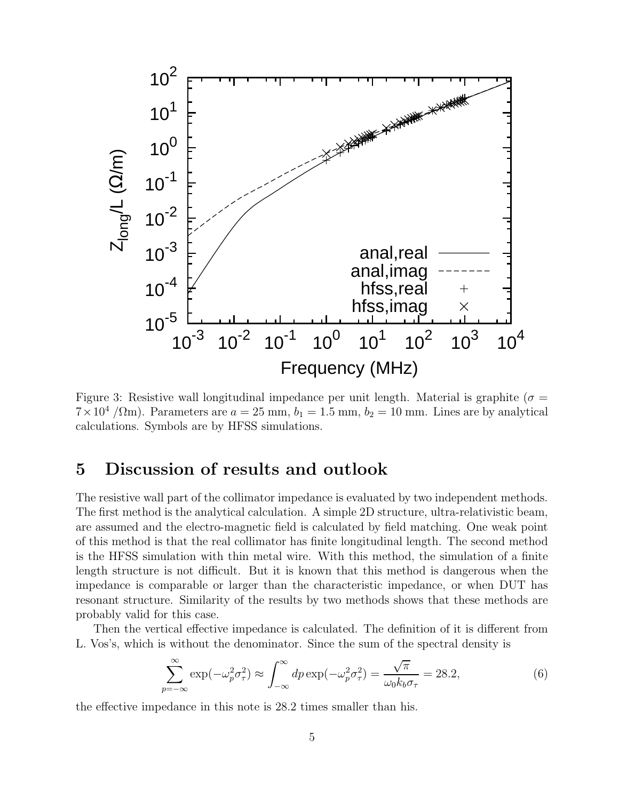

Figure 3: Resistive wall longitudinal impedance per unit length. Material is graphite ( $\sigma$  =  $7 \times 10^4$  / $\Omega$ m). Parameters are  $a = 25$  mm,  $b_1 = 1.5$  mm,  $b_2 = 10$  mm. Lines are by analytical calculations. Symbols are by HFSS simulations.

## 5 Discussion of results and outlook

The resistive wall part of the collimator impedance is evaluated by two independent methods. The first method is the analytical calculation. A simple 2D structure, ultra-relativistic beam, are assumed and the electro-magnetic field is calculated by field matching. One weak point of this method is that the real collimator has finite longitudinal length. The second method is the HFSS simulation with thin metal wire. With this method, the simulation of a finite length structure is not difficult. But it is known that this method is dangerous when the impedance is comparable or larger than the characteristic impedance, or when DUT has resonant structure. Similarity of the results by two methods shows that these methods are probably valid for this case.

Then the vertical effective impedance is calculated. The definition of it is different from L. Vos's, which is without the denominator. Since the sum of the spectral density is

$$
\sum_{p=-\infty}^{\infty} \exp(-\omega_p^2 \sigma_\tau^2) \approx \int_{-\infty}^{\infty} dp \exp(-\omega_p^2 \sigma_\tau^2) = \frac{\sqrt{\pi}}{\omega_0 k_b \sigma_\tau} = 28.2,\tag{6}
$$

the effective impedance in this note is 28.2 times smaller than his.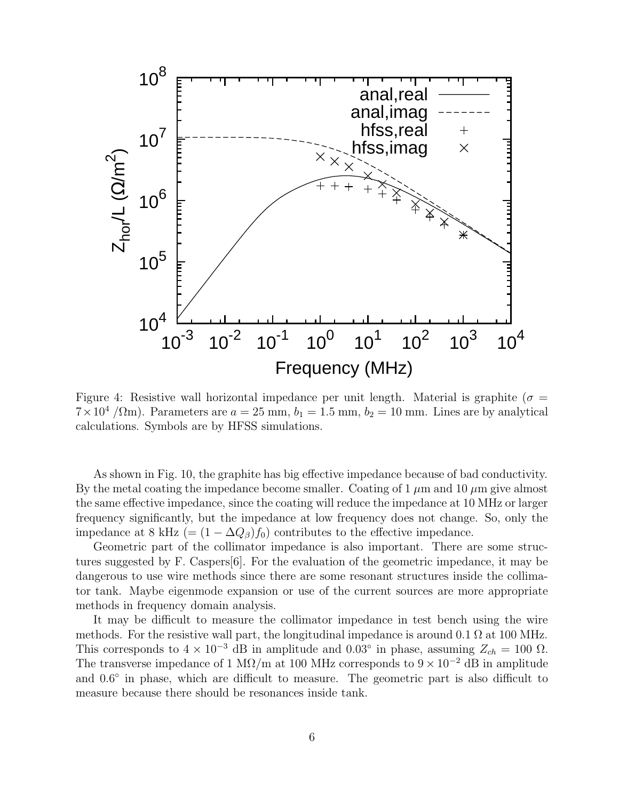

Figure 4: Resistive wall horizontal impedance per unit length. Material is graphite ( $\sigma$  =  $7 \times 10^4$  / $\Omega$ m). Parameters are  $a = 25$  mm,  $b_1 = 1.5$  mm,  $b_2 = 10$  mm. Lines are by analytical calculations. Symbols are by HFSS simulations.

As shown in Fig. 10, the graphite has big effective impedance because of bad conductivity. By the metal coating the impedance become smaller. Coating of 1  $\mu$ m and 10  $\mu$ m give almost the same effective impedance, since the coating will reduce the impedance at 10 MHz or larger frequency significantly, but the impedance at low frequency does not change. So, only the impedance at 8 kHz (=  $(1 - \Delta Q_{\beta}) f_0$ ) contributes to the effective impedance.

Geometric part of the collimator impedance is also important. There are some structures suggested by F. Caspers[6]. For the evaluation of the geometric impedance, it may be dangerous to use wire methods since there are some resonant structures inside the collimator tank. Maybe eigenmode expansion or use of the current sources are more appropriate methods in frequency domain analysis.

It may be difficult to measure the collimator impedance in test bench using the wire methods. For the resistive wall part, the longitudinal impedance is around  $0.1 \Omega$  at 100 MHz. This corresponds to  $4 \times 10^{-3}$  dB in amplitude and  $0.03°$  in phase, assuming  $Z_{ch} = 100 \Omega$ . The transverse impedance of 1 M $\Omega$ /m at 100 MHz corresponds to 9 × 10<sup>-2</sup> dB in amplitude and  $0.6^{\circ}$  in phase, which are difficult to measure. The geometric part is also difficult to measure because there should be resonances inside tank.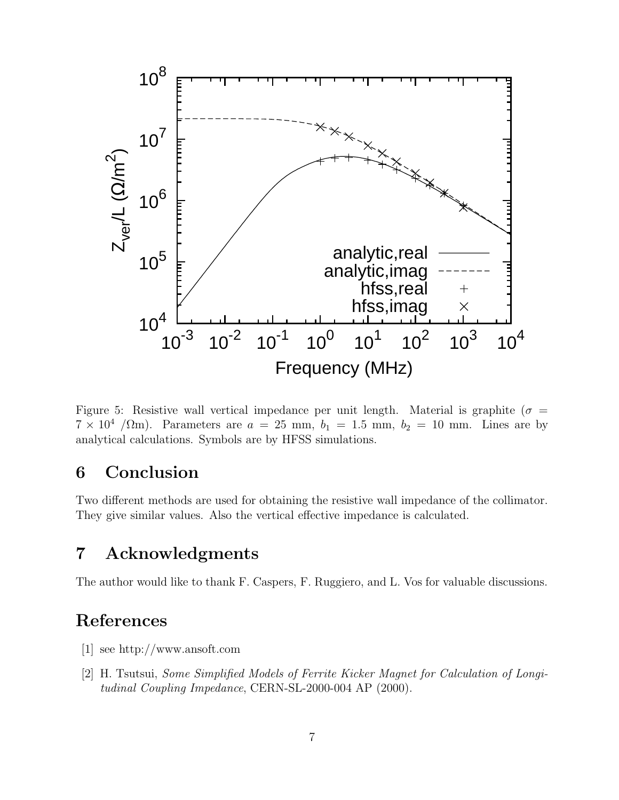

Figure 5: Resistive wall vertical impedance per unit length. Material is graphite ( $\sigma$  =  $7 \times 10^4$  / $\Omega$ m). Parameters are  $a = 25$  mm,  $b_1 = 1.5$  mm,  $b_2 = 10$  mm. Lines are by analytical calculations. Symbols are by HFSS simulations.

## 6 Conclusion

Two different methods are used for obtaining the resistive wall impedance of the collimator. They give similar values. Also the vertical effective impedance is calculated.

## 7 Acknowledgments

The author would like to thank F. Caspers, F. Ruggiero, and L. Vos for valuable discussions.

# References

- [1] see http://www.ansoft.com
- [2] H. Tsutsui, Some Simplified Models of Ferrite Kicker Magnet for Calculation of Longitudinal Coupling Impedance, CERN-SL-2000-004 AP (2000).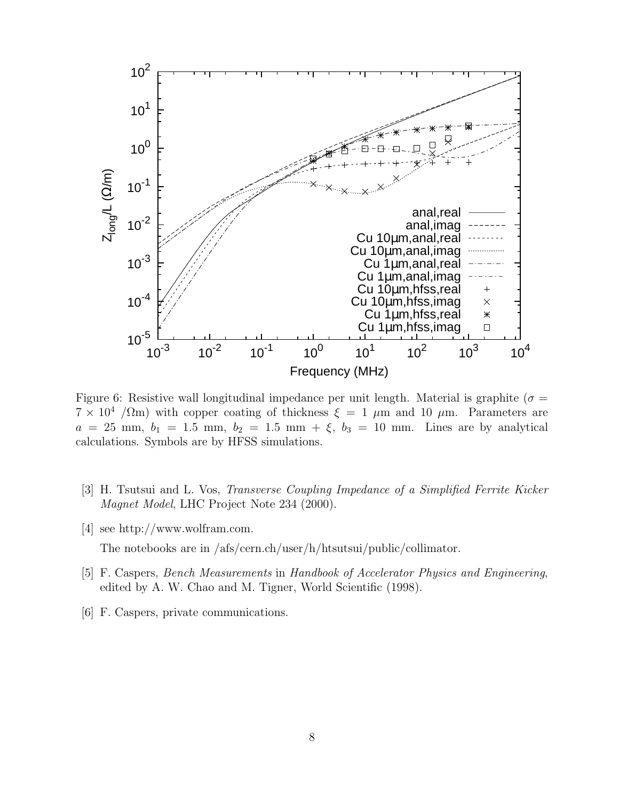

Figure 6: Resistive wall longitudinal impedance per unit length. Material is graphite ( $\sigma$  =  $7 \times 10^4$  / $\Omega$ m) with copper coating of thickness  $\xi = 1 \mu$ m and 10  $\mu$ m. Parameters are  $a = 25$  mm,  $b_1 = 1.5$  mm,  $b_2 = 1.5$  mm +  $\xi$ ,  $b_3 = 10$  mm. Lines are by analytical calculations. Symbols are by HFSS simulations.

- [3] H. Tsutsui and L. Vos, Transverse Coupling Impedance of a Simplified Ferrite Kicker Magnet Model, LHC Project Note 234 (2000).
- [4] see http://www.wolfram.com. The notebooks are in /afs/cern.ch/user/h/htsutsui/public/collimator.
- [5] F. Caspers, Bench Measurements in Handbook of Accelerator Physics and Engineering, edited by A. W. Chao and M. Tigner, World Scientific (1998).
- [6] F. Caspers, private communications.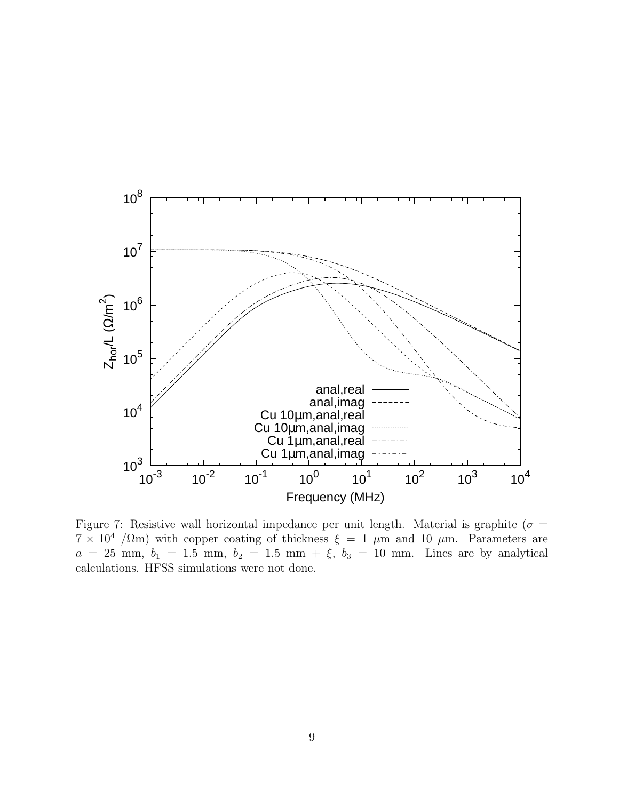

Figure 7: Resistive wall horizontal impedance per unit length. Material is graphite ( $\sigma$  =  $7 \times 10^4$  /Ωm) with copper coating of thickness  $\xi = 1 \mu m$  and 10  $\mu m$ . Parameters are  $a = 25$  mm,  $b_1 = 1.5$  mm,  $b_2 = 1.5$  mm +  $\xi$ ,  $b_3 = 10$  mm. Lines are by analytical calculations. HFSS simulations were not done.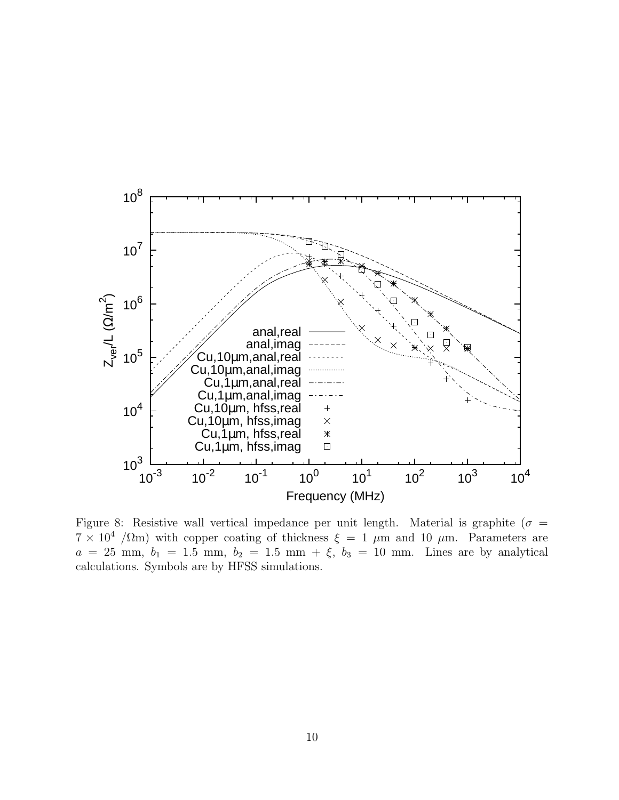

Figure 8: Resistive wall vertical impedance per unit length. Material is graphite ( $\sigma$  =  $7 \times 10^4$  / $\Omega$ m) with copper coating of thickness  $\xi = 1 \mu$ m and 10  $\mu$ m. Parameters are  $a = 25$  mm,  $b_1 = 1.5$  mm,  $b_2 = 1.5$  mm +  $\xi$ ,  $b_3 = 10$  mm. Lines are by analytical calculations. Symbols are by HFSS simulations.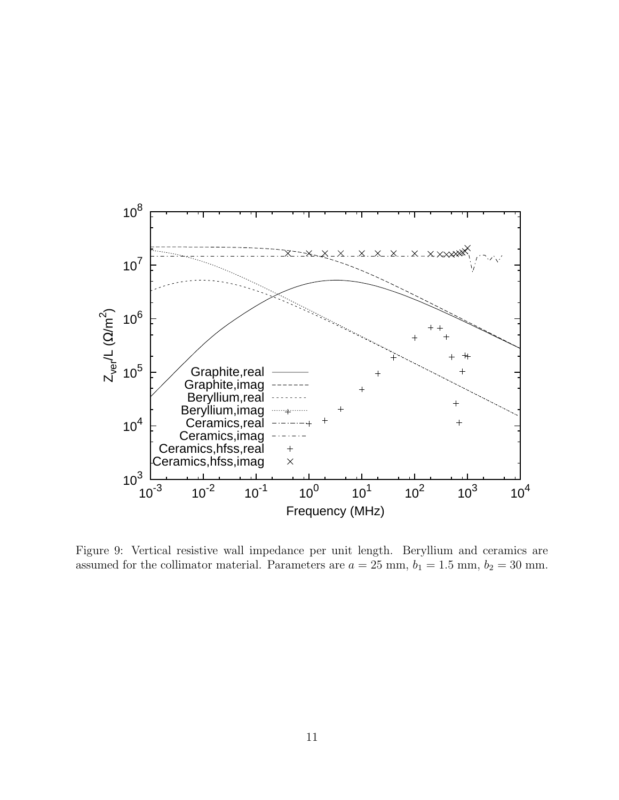

Figure 9: Vertical resistive wall impedance per unit length. Beryllium and ceramics are assumed for the collimator material. Parameters are  $a = 25$  mm,  $b_1 = 1.5$  mm,  $b_2 = 30$  mm.